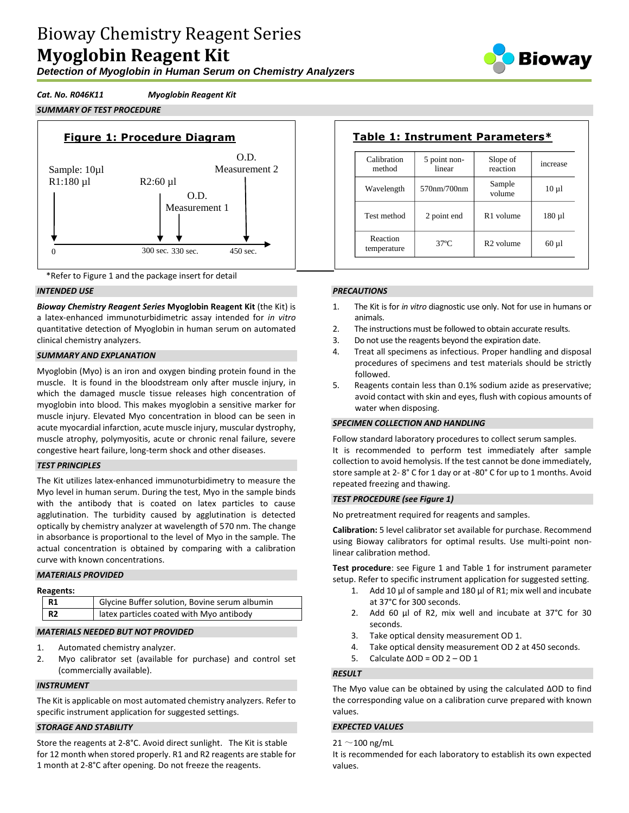*Detection of Myoglobin in Human Serum on Chemistry Analyzers*

# *Cat. No. R046K11 Myoglobin Reagent Kit*







## *INTENDED USE*

*Bioway Chemistry Reagent Series* **Myoglobin Reagent Kit** (the Kit) is a latex-enhanced immunoturbidimetric assay intended for *in vitro* quantitative detection of Myoglobin in human serum on automated clinical chemistry analyzers.

# *SUMMARY AND EXPLANATION*

Myoglobin (Myo) is an iron and oxygen binding protein found in the muscle. It is found in the bloodstream only after muscle injury, in which the damaged muscle tissue releases high concentration of myoglobin into blood. This makes myoglobin a sensitive marker for muscle injury. Elevated Myo concentration in blood can be seen in acute myocardial infarction, acute muscle injury, muscular dystrophy, muscle atrophy, polymyositis, acute or chronic renal failure, severe congestive heart failure, long-term shock and other diseases.

#### *TEST PRINCIPLES*

The Kit utilizes latex-enhanced immunoturbidimetry to measure the Myo level in human serum. During the test, Myo in the sample binds with the antibody that is coated on latex particles to cause agglutination. The turbidity caused by agglutination is detected optically by chemistry analyzer at wavelength of 570 nm. The change in absorbance is proportional to the level of Myo in the sample. The actual concentration is obtained by comparing with a calibration curve with known concentrations.

#### *MATERIALS PROVIDED*

| R1             | Glycine Buffer solution, Bovine serum albumin |
|----------------|-----------------------------------------------|
| R <sub>2</sub> | latex particles coated with Myo antibody      |
|                |                                               |

# *MATERIALS NEEDED BUT NOT PROVIDED*

- 1. Automated chemistry analyzer.
- 2. Myo calibrator set (available for purchase) and control set (commercially available).

#### *INSTRUMENT*

The Kit is applicable on most automated chemistry analyzers. Refer to specific instrument application for suggested settings.

# *STORAGE AND STABILITY*

Store the reagents at 2-8°C. Avoid direct sunlight. The Kit is stable for 12 month when stored properly. R1 and R2 reagents are stable for 1 month at 2-8°C after opening. Do not freeze the reagents.

| Calibration<br>method   | 5 point non-<br>linear | Slope of<br>reaction  | increase    |
|-------------------------|------------------------|-----------------------|-------------|
| Wavelength              | 570nm/700nm            | Sample<br>volume      | $10 \mu l$  |
| Test method             | 2 point end            | R <sub>1</sub> volume | $180 \mu l$ |
| Reaction<br>temperature | $37^\circ$ C           | R <sub>2</sub> volume | $60 \mu l$  |

# *PRECAUTIONS*

- 1. The Kit is for *in vitro* diagnostic use only. Not for use in humans or animals.
- 2 The instructions must be followed to obtain accurate results.
- 3. Do not use the reagents beyond the expiration date.
- 4. Treat all specimens as infectious. Proper handling and disposal procedures of specimens and test materials should be strictly followed.
- 5. Reagents contain less than 0.1% sodium azide as preservative; avoid contact with skin and eyes, flush with copious amounts of water when disposing.

## *SPECIMEN COLLECTION AND HANDLING*

Follow standard laboratory procedures to collect serum samples. It is recommended to perform test immediately after sample collection to avoid hemolysis. If the test cannot be done immediately, store sample at 2- 8° C for 1 day or at -80° C for up to 1 months. Avoid repeated freezing and thawing.

#### *TEST PROCEDURE (see Figure 1)*

No pretreatment required for reagents and samples.

**Calibration:** 5 level calibrator set available for purchase. Recommend using Bioway calibrators for optimal results. Use multi-point nonlinear calibration method.

**Test procedure**: see Figure 1 and Table 1 for instrument parameter setup. Refer to specific instrument application for suggested setting.

- 1. Add 10 µl of sample and 180 µl of R1; mix well and incubate at 37°C for 300 seconds.
- 2. Add 60 µl of R2, mix well and incubate at 37°C for 30 seconds.
- 3. Take optical density measurement OD 1.
- 4. Take optical density measurement OD 2 at 450 seconds.
- 5. Calculate ΔOD = OD 2 OD 1

#### *RESULT*

The Myo value can be obtained by using the calculated ΔOD to find the corresponding value on a calibration curve prepared with known values.

### *EXPECTED VALUES*

# $21 \sim 100$  ng/mL

It is recommended for each laboratory to establish its own expected values.